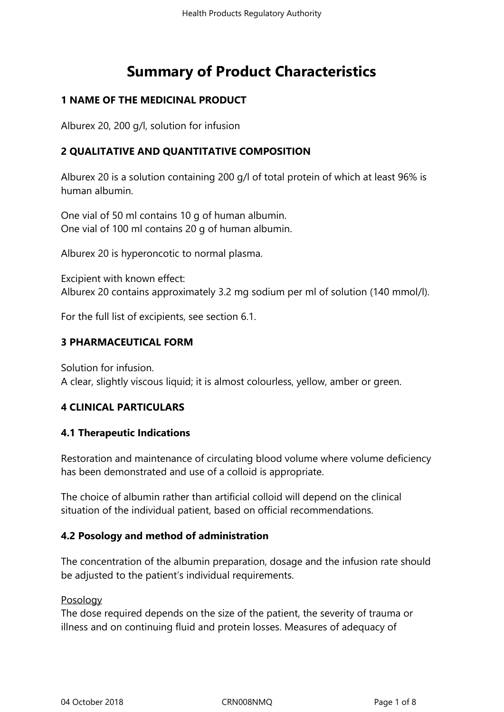# **Summary of Product Characteristics**

## **1 NAME OF THE MEDICINAL PRODUCT**

Alburex 20, 200 g/l, solution for infusion

## **2 QUALITATIVE AND QUANTITATIVE COMPOSITION**

Alburex 20 is a solution containing 200 g/l of total protein of which at least 96% is human albumin.

One vial of 50 ml contains 10 g of human albumin. One vial of 100 ml contains 20 g of human albumin.

Alburex 20 is hyperoncotic to normal plasma.

Excipient with known effect: Alburex 20 contains approximately 3.2 mg sodium per ml of solution (140 mmol/l).

For the full list of excipients, see section 6.1.

## **3 PHARMACEUTICAL FORM**

Solution for infusion. A clear, slightly viscous liquid; it is almost colourless, yellow, amber or green.

## **4 CLINICAL PARTICULARS**

#### **4.1 Therapeutic Indications**

Restoration and maintenance of circulating blood volume where volume deficiency has been demonstrated and use of a colloid is appropriate.

The choice of albumin rather than artificial colloid will depend on the clinical situation of the individual patient, based on official recommendations.

## **4.2 Posology and method of administration**

The concentration of the albumin preparation, dosage and the infusion rate should be adjusted to the patient's individual requirements.

#### Posology

The dose required depends on the size of the patient, the severity of trauma or illness and on continuing fluid and protein losses. Measures of adequacy of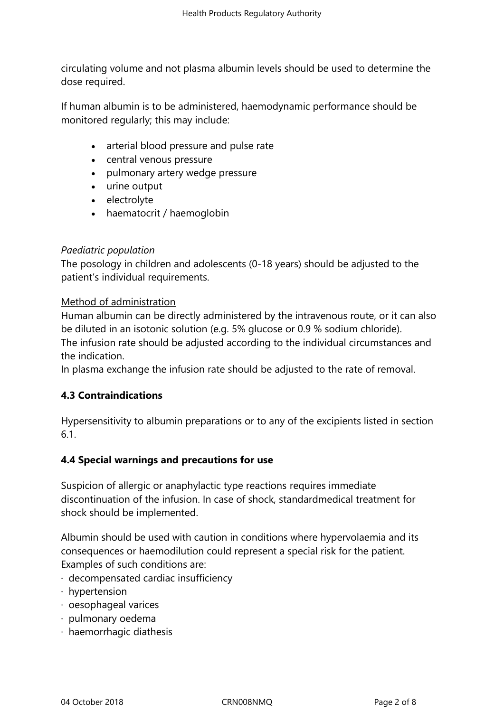circulating volume and not plasma albumin levels should be used to determine the dose required.

If human albumin is to be administered, haemodynamic performance should be monitored regularly; this may include:

- arterial blood pressure and pulse rate
- central venous pressure
- pulmonary artery wedge pressure
- urine output
- electrolyte
- haematocrit / haemoglobin

#### *Paediatric population*

The posology in children and adolescents (0-18 years) should be adjusted to the patient's individual requirements.

#### Method of administration

Human albumin can be directly administered by the intravenous route, or it can also be diluted in an isotonic solution (e.g. 5% glucose or 0.9 % sodium chloride). The infusion rate should be adjusted according to the individual circumstances and the indication.

In plasma exchange the infusion rate should be adjusted to the rate of removal.

## **4.3 Contraindications**

Hypersensitivity to albumin preparations or to any of the excipients listed in section 6.1.

## **4.4 Special warnings and precautions for use**

Suspicion of allergic or anaphylactic type reactions requires immediate discontinuation of the infusion. In case of shock, standardmedical treatment for shock should be implemented.

Albumin should be used with caution in conditions where hypervolaemia and its consequences or haemodilution could represent a special risk for the patient. Examples of such conditions are:

- · decompensated cardiac insufficiency
- · hypertension
- · oesophageal varices
- · pulmonary oedema
- · haemorrhagic diathesis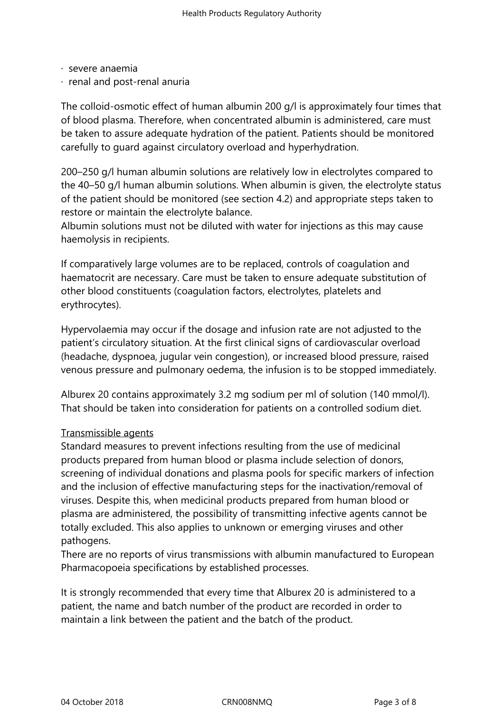- · severe anaemia
- · renal and post-renal anuria

The colloid-osmotic effect of human albumin 200 g/l is approximately four times that of blood plasma. Therefore, when concentrated albumin is administered, care must be taken to assure adequate hydration of the patient. Patients should be monitored carefully to guard against circulatory overload and hyperhydration.

200–250 g/l human albumin solutions are relatively low in electrolytes compared to the 40–50 g/l human albumin solutions. When albumin is given, the electrolyte status of the patient should be monitored (see section 4.2) and appropriate steps taken to restore or maintain the electrolyte balance.

Albumin solutions must not be diluted with water for injections as this may cause haemolysis in recipients.

If comparatively large volumes are to be replaced, controls of coagulation and haematocrit are necessary. Care must be taken to ensure adequate substitution of other blood constituents (coagulation factors, electrolytes, platelets and erythrocytes).

Hypervolaemia may occur if the dosage and infusion rate are not adjusted to the patient's circulatory situation. At the first clinical signs of cardiovascular overload (headache, dyspnoea, jugular vein congestion), or increased blood pressure, raised venous pressure and pulmonary oedema, the infusion is to be stopped immediately.

Alburex 20 contains approximately 3.2 mg sodium per ml of solution (140 mmol/l). That should be taken into consideration for patients on a controlled sodium diet.

#### Transmissible agents

Standard measures to prevent infections resulting from the use of medicinal products prepared from human blood or plasma include selection of donors, screening of individual donations and plasma pools for specific markers of infection and the inclusion of effective manufacturing steps for the inactivation/removal of viruses. Despite this, when medicinal products prepared from human blood or plasma are administered, the possibility of transmitting infective agents cannot be totally excluded. This also applies to unknown or emerging viruses and other pathogens.

There are no reports of virus transmissions with albumin manufactured to European Pharmacopoeia specifications by established processes.

It is strongly recommended that every time that Alburex 20 is administered to a patient, the name and batch number of the product are recorded in order to maintain a link between the patient and the batch of the product.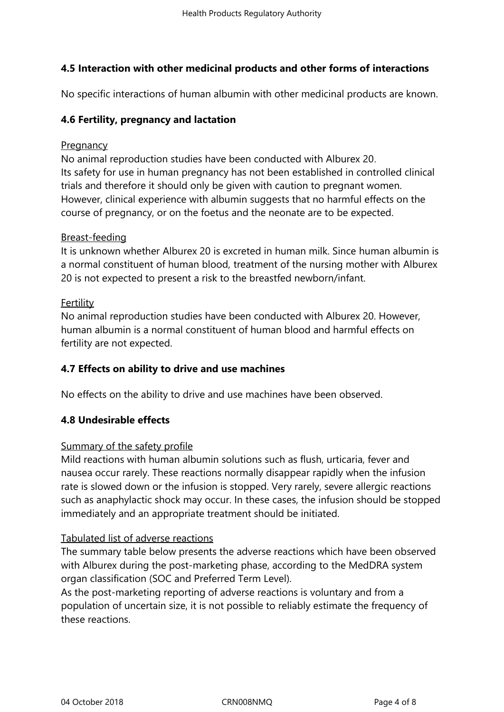## **4.5 Interaction with other medicinal products and other forms of interactions**

No specific interactions of human albumin with other medicinal products are known.

## **4.6 Fertility, pregnancy and lactation**

#### **Pregnancy**

No animal reproduction studies have been conducted with Alburex 20. Its safety for use in human pregnancy has not been established in controlled clinical trials and therefore it should only be given with caution to pregnant women. However, clinical experience with albumin suggests that no harmful effects on the course of pregnancy, or on the foetus and the neonate are to be expected.

#### Breast-feeding

It is unknown whether Alburex 20 is excreted in human milk. Since human albumin is a normal constituent of human blood, treatment of the nursing mother with Alburex 20 is not expected to present a risk to the breastfed newborn/infant.

#### Fertility

No animal reproduction studies have been conducted with Alburex 20. However, human albumin is a normal constituent of human blood and harmful effects on fertility are not expected.

#### **4.7 Effects on ability to drive and use machines**

No effects on the ability to drive and use machines have been observed.

## **4.8 Undesirable effects**

#### Summary of the safety profile

Mild reactions with human albumin solutions such as flush, urticaria, fever and nausea occur rarely. These reactions normally disappear rapidly when the infusion rate is slowed down or the infusion is stopped. Very rarely, severe allergic reactions such as anaphylactic shock may occur. In these cases, the infusion should be stopped immediately and an appropriate treatment should be initiated.

#### Tabulated list of adverse reactions

The summary table below presents the adverse reactions which have been observed with Alburex during the post-marketing phase, according to the MedDRA system organ classification (SOC and Preferred Term Level).

As the post-marketing reporting of adverse reactions is voluntary and from a population of uncertain size, it is not possible to reliably estimate the frequency of these reactions.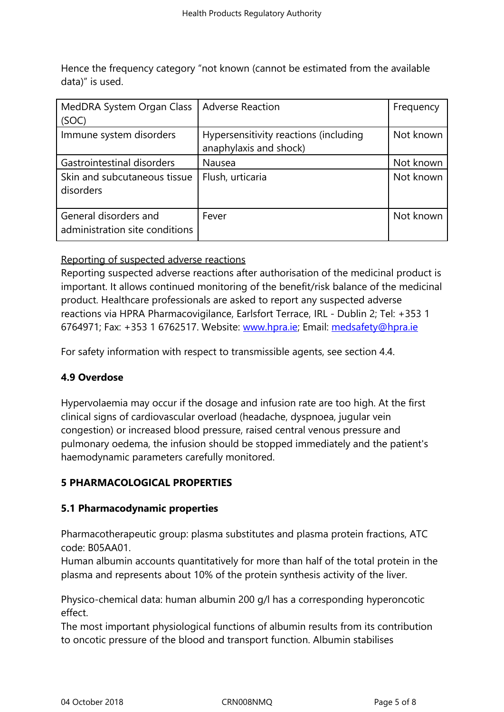Hence the frequency category "not known (cannot be estimated from the available data)" is used.

| MedDRA System Organ Class<br>(SOC)                      | <b>Adverse Reaction</b>                                         | Frequency |
|---------------------------------------------------------|-----------------------------------------------------------------|-----------|
| Immune system disorders                                 | Hypersensitivity reactions (including<br>anaphylaxis and shock) | Not known |
| Gastrointestinal disorders                              | Nausea                                                          | Not known |
| Skin and subcutaneous tissue<br>disorders               | Flush, urticaria                                                | Not known |
| General disorders and<br>administration site conditions | Fever                                                           | Not known |

## Reporting of suspected adverse reactions

Reporting suspected adverse reactions after authorisation of the medicinal product is important. It allows continued monitoring of the benefit/risk balance of the medicinal product. Healthcare professionals are asked to report any suspected adverse reactions via HPRA Pharmacovigilance, Earlsfort Terrace, IRL - Dublin 2; Tel: +353 1 6764971; Fax: +353 1 6762517. Website: www.hpra.ie; Email: medsafety@hpra.ie

For safety information with respect to transmissible agents, see section 4.4.

# **4.9 Overdose**

Hypervolaemia may occur if the dosage and infusion rate are too high. At the first clinical signs of cardiovascular overload (headache, dyspnoea, jugular vein congestion) or increased blood pressure, raised central venous pressure and pulmonary oedema, the infusion should be stopped immediately and the patient's haemodynamic parameters carefully monitored.

# **5 PHARMACOLOGICAL PROPERTIES**

## **5.1 Pharmacodynamic properties**

Pharmacotherapeutic group: plasma substitutes and plasma protein fractions, ATC code: B05AA01.

Human albumin accounts quantitatively for more than half of the total protein in the plasma and represents about 10% of the protein synthesis activity of the liver.

Physico-chemical data: human albumin 200 g/l has a corresponding hyperoncotic effect.

The most important physiological functions of albumin results from its contribution to oncotic pressure of the blood and transport function. Albumin stabilises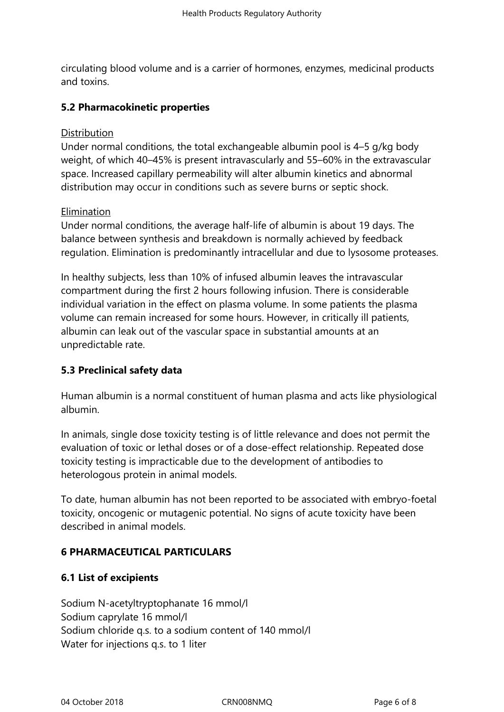circulating blood volume and is a carrier of hormones, enzymes, medicinal products and toxins.

## **5.2 Pharmacokinetic properties**

#### **Distribution**

Under normal conditions, the total exchangeable albumin pool is 4–5 g/kg body weight, of which 40–45% is present intravascularly and 55–60% in the extravascular space. Increased capillary permeability will alter albumin kinetics and abnormal distribution may occur in conditions such as severe burns or septic shock.

#### Elimination

Under normal conditions, the average half-life of albumin is about 19 days. The balance between synthesis and breakdown is normally achieved by feedback regulation. Elimination is predominantly intracellular and due to lysosome proteases.

In healthy subjects, less than 10% of infused albumin leaves the intravascular compartment during the first 2 hours following infusion. There is considerable individual variation in the effect on plasma volume. In some patients the plasma volume can remain increased for some hours. However, in critically ill patients, albumin can leak out of the vascular space in substantial amounts at an unpredictable rate.

## **5.3 Preclinical safety data**

Human albumin is a normal constituent of human plasma and acts like physiological albumin.

In animals, single dose toxicity testing is of little relevance and does not permit the evaluation of toxic or lethal doses or of a dose-effect relationship. Repeated dose toxicity testing is impracticable due to the development of antibodies to heterologous protein in animal models.

To date, human albumin has not been reported to be associated with embryo-foetal toxicity, oncogenic or mutagenic potential. No signs of acute toxicity have been described in animal models.

## **6 PHARMACEUTICAL PARTICULARS**

## **6.1 List of excipients**

Sodium N-acetyltryptophanate 16 mmol/l Sodium caprylate 16 mmol/l Sodium chloride q.s. to a sodium content of 140 mmol/l Water for injections q.s. to 1 liter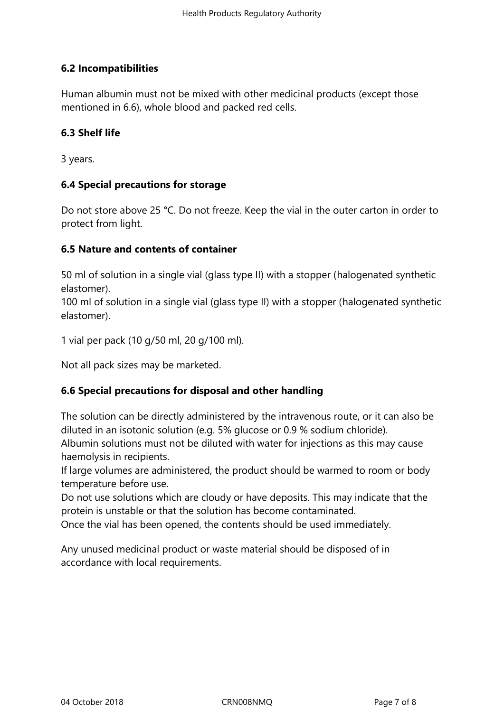# **6.2 Incompatibilities**

Human albumin must not be mixed with other medicinal products (except those mentioned in 6.6), whole blood and packed red cells.

#### **6.3 Shelf life**

3 years.

#### **6.4 Special precautions for storage**

Do not store above 25 °C. Do not freeze. Keep the vial in the outer carton in order to protect from light.

#### **6.5 Nature and contents of container**

50 ml of solution in a single vial (glass type II) with a stopper (halogenated synthetic elastomer).

100 ml of solution in a single vial (glass type II) with a stopper (halogenated synthetic elastomer).

1 vial per pack (10 g/50 ml, 20 g/100 ml).

Not all pack sizes may be marketed.

## **6.6 Special precautions for disposal and other handling**

The solution can be directly administered by the intravenous route, or it can also be diluted in an isotonic solution (e.g. 5% glucose or 0.9 % sodium chloride).

Albumin solutions must not be diluted with water for injections as this may cause haemolysis in recipients.

If large volumes are administered, the product should be warmed to room or body temperature before use.

Do not use solutions which are cloudy or have deposits. This may indicate that the protein is unstable or that the solution has become contaminated.

Once the vial has been opened, the contents should be used immediately.

Any unused medicinal product or waste material should be disposed of in accordance with local requirements.